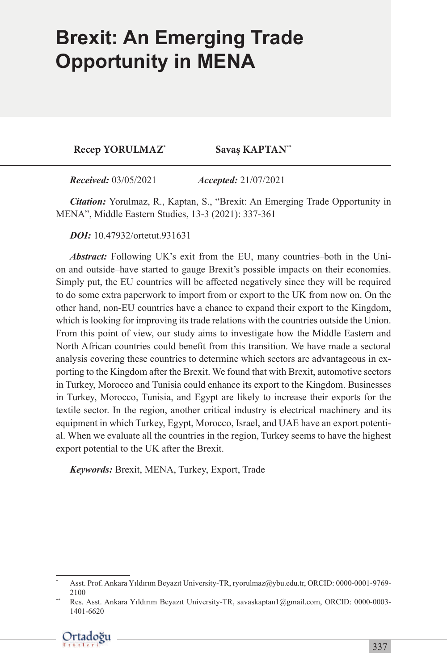## **Brexit: An Emerging Trade**  $\blacksquare$ **Opportunity in MENA**

**Recep Yorulmaz\***

Savas KAPTAN<sup>\*\*</sup>

*Received:* 03/05/2021 *Accepted:* 21/07/2021

*Citation:* Yorulmaz, R., Kaptan, S., "Brexit: An Emerging Trade Opportunity in MENA", Middle Eastern Studies, 13-3 (2021): 337-361

*DOI:* 10.47932/ortetut.931631

*Abstract:* Following UK's exit from the EU, many countries–both in the Union and outside–have started to gauge Brexit's possible impacts on their economies. Simply put, the EU countries will be affected negatively since they will be required to do some extra paperwork to import from or export to the UK from now on. On the other hand, non-EU countries have a chance to expand their export to the Kingdom, which is looking for improving its trade relations with the countries outside the Union. From this point of view, our study aims to investigate how the Middle Eastern and North African countries could benefit from this transition. We have made a sectoral analysis covering these countries to determine which sectors are advantageous in exporting to the Kingdom after the Brexit. We found that with Brexit, automotive sectors in Turkey, Morocco and Tunisia could enhance its export to the Kingdom. Businesses in Turkey, Morocco, Tunisia, and Egypt are likely to increase their exports for the textile sector. In the region, another critical industry is electrical machinery and its equipment in which Turkey, Egypt, Morocco, Israel, and UAE have an export potential. When we evaluate all the countries in the region, Turkey seems to have the highest export potential to the UK after the Brexit.

*Keywords:* Brexit, MENA, Turkey, Export, Trade

Res. Asst. Ankara Yıldırım Beyazıt University-TR, savaskaptan1@gmail.com, ORCID: 0000-0003-1401-6620



<sup>\*</sup> Asst. Prof. Ankara Yıldırım Beyazıt University-TR, ryorulmaz@ybu.edu.tr, ORCID: 0000-0001-9769- 2100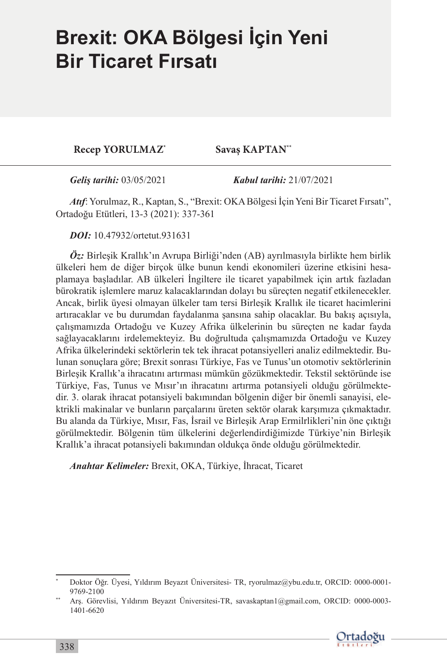## **Brexit: OKA Bölgesi İçin Yeni Bir Ticaret Fırsatı**

**Recep Yorulmaz\***

Savas KAPTAN\*\*

*Geliş tarihi:* 03/05/2021 *Kabul tarihi:* 21/07/2021

*Atıf*: Yorulmaz, R., Kaptan, S., "Brexit: OKA Bölgesi İçin Yeni Bir Ticaret Fırsatı", Ortadoğu Etütleri, 13-3 (2021): 337-361

*DOI:* 10.47932/ortetut.931631

*Öz:* Birleşik Krallık'ın Avrupa Birliği'nden (AB) ayrılmasıyla birlikte hem birlik ülkeleri hem de diğer birçok ülke bunun kendi ekonomileri üzerine etkisini hesaplamaya başladılar. AB ülkeleri İngiltere ile ticaret yapabilmek için artık fazladan bürokratik işlemlere maruz kalacaklarından dolayı bu süreçten negatif etkilenecekler. Ancak, birlik üyesi olmayan ülkeler tam tersi Birleşik Krallık ile ticaret hacimlerini artıracaklar ve bu durumdan faydalanma şansına sahip olacaklar. Bu bakış açısıyla, çalışmamızda Ortadoğu ve Kuzey Afrika ülkelerinin bu süreçten ne kadar fayda sağlayacaklarını irdelemekteyiz. Bu doğrultuda çalışmamızda Ortadoğu ve Kuzey Afrika ülkelerindeki sektörlerin tek tek ihracat potansiyelleri analiz edilmektedir. Bulunan sonuçlara göre; Brexit sonrası Türkiye, Fas ve Tunus'un otomotiv sektörlerinin Birleşik Krallık'a ihracatını artırması mümkün gözükmektedir. Tekstil sektöründe ise Türkiye, Fas, Tunus ve Mısır'ın ihracatını artırma potansiyeli olduğu görülmektedir. 3. olarak ihracat potansiyeli bakımından bölgenin diğer bir önemli sanayisi, elektrikli makinalar ve bunların parçalarını üreten sektör olarak karşımıza çıkmaktadır. Bu alanda da Türkiye, Mısır, Fas, İsrail ve Birleşik Arap Ermilrlikleri'nin öne çıktığı görülmektedir. Bölgenin tüm ülkelerini değerlendirdiğimizde Türkiye'nin Birleşik Krallık'a ihracat potansiyeli bakımından oldukça önde olduğu görülmektedir.

*Anahtar Kelimeler:* Brexit, OKA, Türkiye, İhracat, Ticaret

<sup>\*\*</sup> Arş. Görevlisi, Yıldırım Beyazıt Üniversitesi-TR, savaskaptan1@gmail.com, ORCID: 0000-0003- 1401-6620



<sup>\*</sup> Doktor Öğr. Üyesi, Yıldırım Beyazıt Üniversitesi- TR, ryorulmaz@ybu.edu.tr, ORCID: 0000-0001- 9769-2100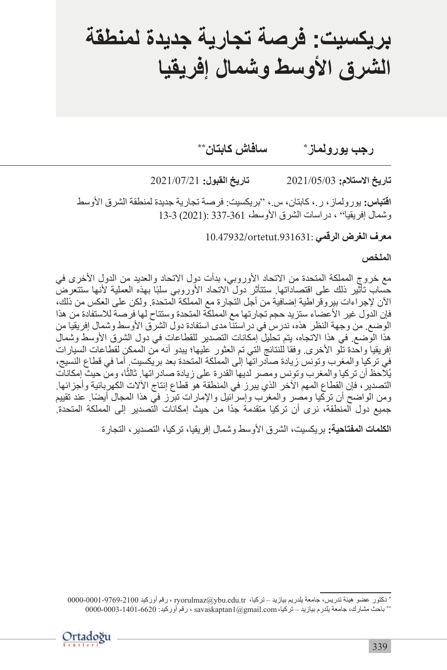# **بريكسيت: فرصة تجارية جديدة لمنطقة الشرق األوسط وشمال إفريقيا**

**\*رجب يورولماز سافاش كابتان\*\*** 

**تاريخ االستالم:** 2021/05/03 **تاريخ القبول:** 2021/07/21

ا**قتباس:** يورولماز، ر .، كابتان، س .، "بريكسيت: فرصة تجارية جديدة لمنطقة الشرق الأوسط وشمال إفريقيا" ، دراسات الشرق األوسط، 337-361 :(2021) 13-3

10.47932/ortetut.931631:

**الملخص**

مع خروج المملكة المتحدة من الاتحاد الأوروبي، بدأت دول الاتحاد والعديد من الدول الأخرى في حساب تأثير ذلك على اقتصاداتها ستتأثر دول الاتحاد الأوروبي سلبًا بهذه العملية لأنها ستتعرض اآلن إلجراءات بيروقراطية إضافية من أجل التجارة مع المملكة المتحدة. ولكن على العكس من ذلك، فإن الدول غير الأعضاء ستزيد حجم تجارتها مع المملكة المتحدة وستتاح لها فرصة للاستفادة من هذا الوضع. من وجهة النظر هذه، ندرس في در استنا مدى استفادة دول الشرق الأوسط وشمال إفريقيا من هذا الوضع. في هذا االتجاه، يتم تحليل إمكانات التصدير للقطاعات في دول الشرق األوسط وشمال إفريقيا واحدة تلّو الأخرى. وفقا للنتائج التي تم العثور عليها؛ يبدو أنه مّن الممكن لقطاعات السيارات في تركيا والمغرب وتونس زيادة صادراتها إلى المملكة المتحدة بعد بريكسيت. أما في قطاع النسيج، يُلاّحظ أن تركيا والمغرب وتونس ومصر لديها القدرة على زيادة صادراتها. ثالثًا، ومنّ حيثٌ إمكانات التصدير، فإن القطاع المهم اآلخر الذي يبرز في المنطقة هو قطاع إنتاج اآلالت الكهربائية وأجزائها. ً ومن الواضح أن تركيا ومصر والمغرب وإسرائيل واإلمارات تبرز في هذا المجال أيضا. عند تقييم ً جميع دول المنطقة، نرى أن تركيا متقدمة جدا من حيث إمكانات التصدير إلى المملكة المتحدة.

**الكلمات المفتاحية:** بريكسيت، الشرق األوسط وشمال إفريقيا، تركيا، التصدير، التجارة

<sup>\*</sup> دكتور عضو هيئة تدريس، جامعة يلدريم بيازيد – تركيا، tr.edu.ybu@ryorulmaz ، رقم أوركيد0000-0001-9769-2100 \*\* باحث مشارك، جامعة يلدرم بيازيد – تركيا،com.gmail@1savaskaptan ، رقم أوركيد: 0000-0003-1401-6620

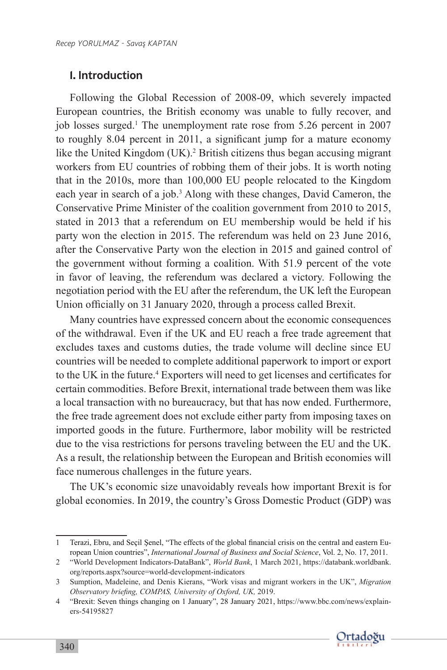#### 1. Introduction

Following the Global Recession of 2008-09, which severely impacted European countries, the British economy was unable to fully recover, and job losses surged.<sup>1</sup> The unemployment rate rose from 5.26 percent in 2007 to roughly 8.04 percent in 2011, a significant jump for a mature economy like the United Kingdom (UK). 2 British citizens thus began accusing migrant workers from EU countries of robbing them of their jobs. It is worth noting that in the 2010s, more than 100,000 EU people relocated to the Kingdom each year in search of a job.<sup>3</sup> Along with these changes, David Cameron, the Conservative Prime Minister of the coalition government from 2010 to 2015, stated in 2013 that a referendum on EU membership would be held if his party won the election in 2015. The referendum was held on 23 June 2016, after the Conservative Party won the election in 2015 and gained control of the government without forming a coalition. With 51.9 percent of the vote in favor of leaving, the referendum was declared a victory. Following the negotiation period with the EU after the referendum, the UK left the European Union officially on 31 January 2020, through a process called Brexit.

Many countries have expressed concern about the economic consequences of the withdrawal. Even if the UK and EU reach a free trade agreement that excludes taxes and customs duties, the trade volume will decline since EU countries will be needed to complete additional paperwork to import or export to the UK in the future.<sup>4</sup> Exporters will need to get licenses and certificates for certain commodities. Before Brexit, international trade between them was like a local transaction with no bureaucracy, but that has now ended. Furthermore, the free trade agreement does not exclude either party from imposing taxes on imported goods in the future. Furthermore, labor mobility will be restricted due to the visa restrictions for persons traveling between the EU and the UK. As a result, the relationship between the European and British economies will face numerous challenges in the future years.

The UK's economic size unavoidably reveals how important Brexit is for global economies. In 2019, the country's Gross Domestic Product (GDP) was

<sup>4</sup> "Brexit: Seven things changing on 1 January", 28 January 2021, https://www.bbc.com/news/explainers-54195827



<sup>1</sup> Terazi, Ebru, and Seçil Şenel, "The effects of the global financial crisis on the central and eastern European Union countries", *International Journal of Business and Social Science*, Vol. 2, No. 17, 2011.

<sup>2</sup> "World Development Indicators-DataBank", *World Bank*, 1 March 2021, https://databank.worldbank. org/reports.aspx?source=world-development-indicators

<sup>3</sup> Sumption, Madeleine, and Denis Kierans, "Work visas and migrant workers in the UK", *Migration Observatory briefing, COMPAS, University of Oxford, UK,* 2019.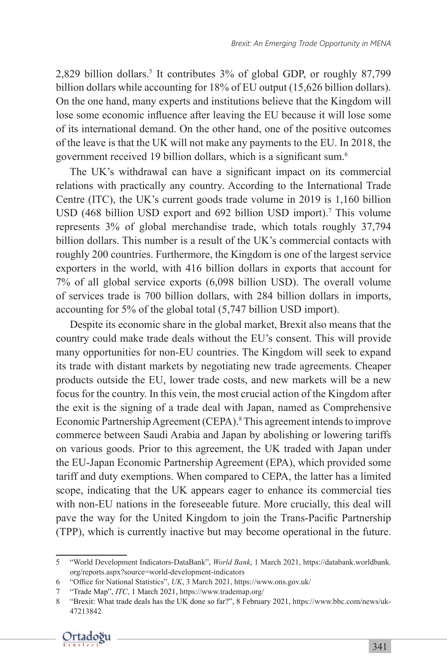2,829 billion dollars.<sup>5</sup> It contributes 3% of global GDP, or roughly 87,799 billion dollars while accounting for 18% of EU output (15,626 billion dollars). On the one hand, many experts and institutions believe that the Kingdom will lose some economic influence after leaving the EU because it will lose some of its international demand. On the other hand, one of the positive outcomes of the leave is that the UK will not make any payments to the EU. In 2018, the government received 19 billion dollars, which is a significant sum.<sup>6</sup>

The UK's withdrawal can have a significant impact on its commercial relations with practically any country. According to the International Trade Centre (ITC), the UK's current goods trade volume in 2019 is 1,160 billion USD (468 billion USD export and 692 billion USD import). <sup>7</sup> This volume represents 3% of global merchandise trade, which totals roughly 37,794 billion dollars. This number is a result of the UK's commercial contacts with roughly 200 countries. Furthermore, the Kingdom is one of the largest service exporters in the world, with 416 billion dollars in exports that account for 7% of all global service exports (6,098 billion USD). The overall volume of services trade is 700 billion dollars, with 284 billion dollars in imports, accounting for 5% of the global total (5,747 billion USD import).

Despite its economic share in the global market, Brexit also means that the country could make trade deals without the EU's consent. This will provide many opportunities for non-EU countries. The Kingdom will seek to expand its trade with distant markets by negotiating new trade agreements. Cheaper products outside the EU, lower trade costs, and new markets will be a new focus for the country. In this vein, the most crucial action of the Kingdom after the exit is the signing of a trade deal with Japan, named as Comprehensive Economic Partnership Agreement (CEPA). 8This agreement intends to improve commerce between Saudi Arabia and Japan by abolishing or lowering tariffs on various goods. Prior to this agreement, the UK traded with Japan under the EU-Japan Economic Partnership Agreement (EPA), which provided some tariff and duty exemptions. When compared to CEPA, the latter has a limited scope, indicating that the UK appears eager to enhance its commercial ties with non-EU nations in the foreseeable future. More crucially, this deal will pave the way for the United Kingdom to join the Trans-Pacific Partnership (TPP), which is currently inactive but may become operational in the future.

<sup>8</sup> "Brexit: What trade deals has the UK done so far?", 8 February 2021, https://www.bbc.com/news/uk-47213842



<sup>5</sup> "World Development Indicators-DataBank", *World Bank*, 1 March 2021, https://databank.worldbank. org/reports.aspx?source=world-development-indicators

<sup>6</sup> "Office for National Statistics", *UK*, 3 March 2021, https://www.ons.gov.uk/

<sup>7</sup> "Trade Map", *ITC*, 1 March 2021, https://www.trademap.org/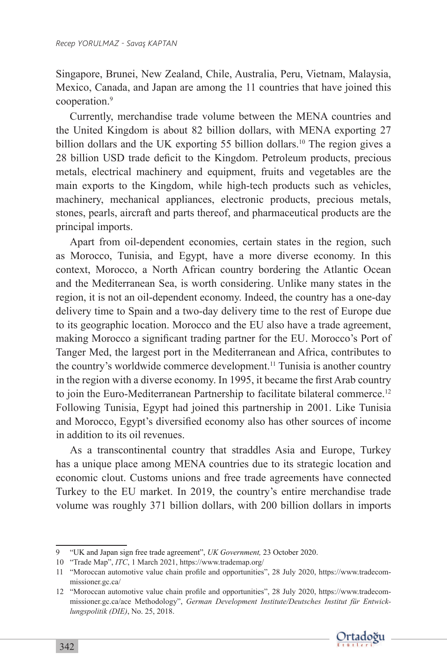Singapore, Brunei, New Zealand, Chile, Australia, Peru, Vietnam, Malaysia, Mexico, Canada, and Japan are among the 11 countries that have joined this cooperation.<sup>9</sup>

Currently, merchandise trade volume between the MENA countries and the United Kingdom is about 82 billion dollars, with MENA exporting 27 billion dollars and the UK exporting 55 billion dollars.<sup>10</sup> The region gives a 28 billion USD trade deficit to the Kingdom. Petroleum products, precious metals, electrical machinery and equipment, fruits and vegetables are the main exports to the Kingdom, while high-tech products such as vehicles, machinery, mechanical appliances, electronic products, precious metals, stones, pearls, aircraft and parts thereof, and pharmaceutical products are the principal imports.

Apart from oil-dependent economies, certain states in the region, such as Morocco, Tunisia, and Egypt, have a more diverse economy. In this context, Morocco, a North African country bordering the Atlantic Ocean and the Mediterranean Sea, is worth considering. Unlike many states in the region, it is not an oil-dependent economy. Indeed, the country has a one-day delivery time to Spain and a two-day delivery time to the rest of Europe due to its geographic location. Morocco and the EU also have a trade agreement, making Morocco a significant trading partner for the EU. Morocco's Port of Tanger Med, the largest port in the Mediterranean and Africa, contributes to the country's worldwide commerce development.<sup>11</sup> Tunisia is another country in the region with a diverse economy. In 1995, it became the first Arab country to join the Euro-Mediterranean Partnership to facilitate bilateral commerce.<sup>12</sup> Following Tunisia, Egypt had joined this partnership in 2001. Like Tunisia and Morocco, Egypt's diversified economy also has other sources of income in addition to its oil revenues.

As a transcontinental country that straddles Asia and Europe, Turkey has a unique place among MENA countries due to its strategic location and economic clout. Customs unions and free trade agreements have connected Turkey to the EU market. In 2019, the country's entire merchandise trade volume was roughly 371 billion dollars, with 200 billion dollars in imports

<sup>12</sup> "Moroccan automotive value chain profile and opportunities", 28 July 2020, https://www.tradecommissioner.gc.ca/ace Methodology", *German Development Institute/Deutsches Institut für Entwicklungspolitik (DIE)*, No. 25, 2018.



<sup>9</sup> "UK and Japan sign free trade agreement", *UK Government,* 23 October 2020.

<sup>10</sup> "Trade Map", *ITC*, 1 March 2021, https://www.trademap.org/

<sup>11</sup> "Moroccan automotive value chain profile and opportunities", 28 July 2020, https://www.tradecommissioner.gc.ca/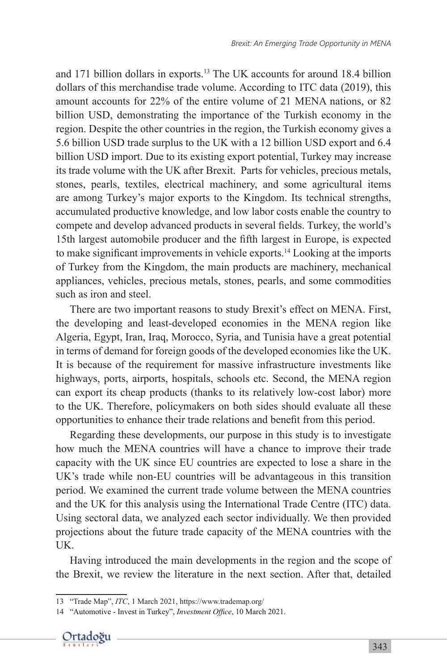and 171 billion dollars in exports.<sup>13</sup> The UK accounts for around 18.4 billion dollars of this merchandise trade volume. According to ITC data (2019), this amount accounts for 22% of the entire volume of 21 MENA nations, or 82 billion USD, demonstrating the importance of the Turkish economy in the region. Despite the other countries in the region, the Turkish economy gives a 5.6 billion USD trade surplus to the UK with a 12 billion USD export and 6.4 billion USD import. Due to its existing export potential, Turkey may increase its trade volume with the UK after Brexit. Parts for vehicles, precious metals, stones, pearls, textiles, electrical machinery, and some agricultural items are among Turkey's major exports to the Kingdom. Its technical strengths, accumulated productive knowledge, and low labor costs enable the country to compete and develop advanced products in several fields. Turkey, the world's 15th largest automobile producer and the fifth largest in Europe, is expected to make significant improvements in vehicle exports.<sup>14</sup> Looking at the imports of Turkey from the Kingdom, the main products are machinery, mechanical appliances, vehicles, precious metals, stones, pearls, and some commodities such as iron and steel.

There are two important reasons to study Brexit's effect on MENA. First, the developing and least-developed economies in the MENA region like Algeria, Egypt, Iran, Iraq, Morocco, Syria, and Tunisia have a great potential in terms of demand for foreign goods of the developed economies like the UK. It is because of the requirement for massive infrastructure investments like highways, ports, airports, hospitals, schools etc. Second, the MENA region can export its cheap products (thanks to its relatively low-cost labor) more to the UK. Therefore, policymakers on both sides should evaluate all these opportunities to enhance their trade relations and benefit from this period.

Regarding these developments, our purpose in this study is to investigate how much the MENA countries will have a chance to improve their trade capacity with the UK since EU countries are expected to lose a share in the UK's trade while non-EU countries will be advantageous in this transition period. We examined the current trade volume between the MENA countries and the UK for this analysis using the International Trade Centre (ITC) data. Using sectoral data, we analyzed each sector individually. We then provided projections about the future trade capacity of the MENA countries with the UK.

Having introduced the main developments in the region and the scope of the Brexit, we review the literature in the next section. After that, detailed

<sup>14</sup> "Automotive - Invest in Turkey", *Investment Office*, 10 March 2021.



<sup>13</sup> "Trade Map", *ITC*, 1 March 2021, https://www.trademap.org/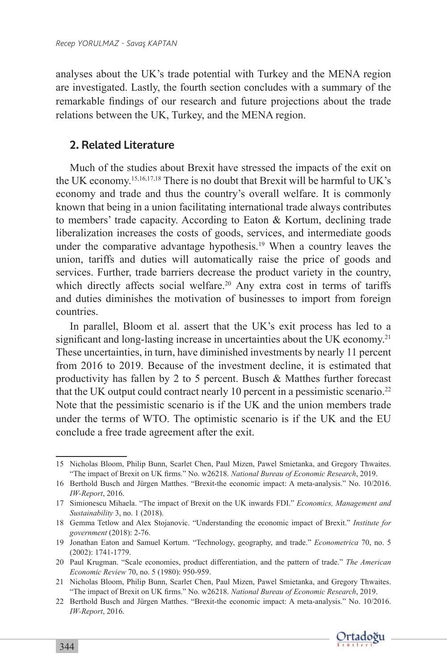analyses about the UK's trade potential with Turkey and the MENA region are investigated. Lastly, the fourth section concludes with a summary of the remarkable findings of our research and future projections about the trade relations between the UK, Turkey, and the MENA region.

#### 2. Related Literature

Much of the studies about Brexit have stressed the impacts of the exit on the UK economy.15,16,17,18 There is no doubt that Brexit will be harmful to UK's economy and trade and thus the country's overall welfare. It is commonly known that being in a union facilitating international trade always contributes to members' trade capacity. According to Eaton & Kortum, declining trade liberalization increases the costs of goods, services, and intermediate goods under the comparative advantage hypothesis.<sup>19</sup> When a country leaves the union, tariffs and duties will automatically raise the price of goods and services. Further, trade barriers decrease the product variety in the country, which directly affects social welfare.<sup>20</sup> Any extra cost in terms of tariffs and duties diminishes the motivation of businesses to import from foreign countries.

In parallel, Bloom et al. assert that the UK's exit process has led to a significant and long-lasting increase in uncertainties about the UK economy.<sup>21</sup> These uncertainties, in turn, have diminished investments by nearly 11 percent from 2016 to 2019. Because of the investment decline, it is estimated that productivity has fallen by 2 to 5 percent. Busch & Matthes further forecast that the UK output could contract nearly 10 percent in a pessimistic scenario.<sup>22</sup> Note that the pessimistic scenario is if the UK and the union members trade under the terms of WTO. The optimistic scenario is if the UK and the EU conclude a free trade agreement after the exit.

<sup>22</sup> Berthold Busch and Jürgen Matthes. "Brexit-the economic impact: A meta-analysis." No. 10/2016. *IW-Report*, 2016.



<sup>15</sup> Nicholas Bloom, Philip Bunn, Scarlet Chen, Paul Mizen, Pawel Smietanka, and Gregory Thwaites. "The impact of Brexit on UK firms." No. w26218. *National Bureau of Economic Research*, 2019.

<sup>16</sup> Berthold Busch and Jürgen Matthes. "Brexit-the economic impact: A meta-analysis." No. 10/2016. *IW-Report*, 2016.

<sup>17</sup> Simionescu Mihaela. "The impact of Brexit on the UK inwards FDI." *Economics, Management and Sustainability* 3, no. 1 (2018).

<sup>18</sup> Gemma Tetlow and Alex Stojanovic. "Understanding the economic impact of Brexit." *Institute for government* (2018): 2-76.

<sup>19</sup> Jonathan Eaton and Samuel Kortum. "Technology, geography, and trade." *Econometrica* 70, no. 5 (2002): 1741-1779.

<sup>20</sup> Paul Krugman. "Scale economies, product differentiation, and the pattern of trade." *The American Economic Review* 70, no. 5 (1980): 950-959.

<sup>21</sup> Nicholas Bloom, Philip Bunn, Scarlet Chen, Paul Mizen, Pawel Smietanka, and Gregory Thwaites. "The impact of Brexit on UK firms." No. w26218. *National Bureau of Economic Research*, 2019.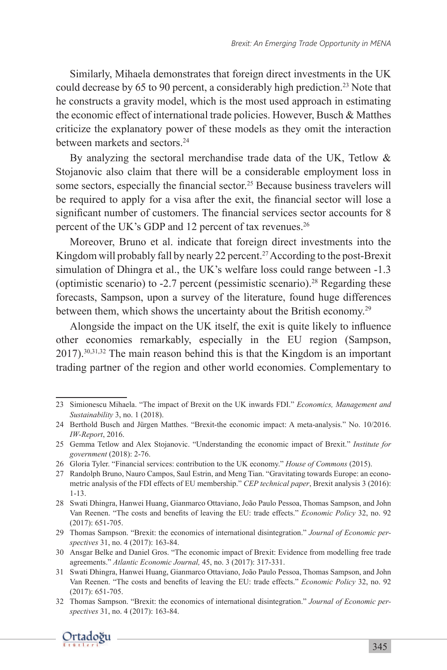Similarly, Mihaela demonstrates that foreign direct investments in the UK could decrease by 65 to 90 percent, a considerably high prediction.<sup>23</sup> Note that he constructs a gravity model, which is the most used approach in estimating the economic effect of international trade policies. However, Busch & Matthes criticize the explanatory power of these models as they omit the interaction between markets and sectors.<sup>24</sup>

By analyzing the sectoral merchandise trade data of the UK, Tetlow & Stojanovic also claim that there will be a considerable employment loss in some sectors, especially the financial sector.<sup>25</sup> Because business travelers will be required to apply for a visa after the exit, the financial sector will lose a significant number of customers. The financial services sector accounts for 8 percent of the UK's GDP and 12 percent of tax revenues.<sup>26</sup>

Moreover, Bruno et al. indicate that foreign direct investments into the Kingdom will probably fall by nearly 22 percent.<sup>27</sup> According to the post-Brexit simulation of Dhingra et al., the UK's welfare loss could range between -1.3 (optimistic scenario) to -2.7 percent (pessimistic scenario). <sup>28</sup> Regarding these forecasts, Sampson, upon a survey of the literature, found huge differences between them, which shows the uncertainty about the British economy.<sup>29</sup>

Alongside the impact on the UK itself, the exit is quite likely to influence other economies remarkably, especially in the EU region (Sampson, 2017). 30,31,32 The main reason behind this is that the Kingdom is an important trading partner of the region and other world economies. Complementary to

<sup>32</sup> Thomas Sampson. "Brexit: the economics of international disintegration." *Journal of Economic perspectives* 31, no. 4 (2017): 163-84.



<sup>23</sup> Simionescu Mihaela. "The impact of Brexit on the UK inwards FDI." *Economics, Management and Sustainability* 3, no. 1 (2018).

<sup>24</sup> Berthold Busch and Jürgen Matthes. "Brexit-the economic impact: A meta-analysis." No. 10/2016. *IW-Report*, 2016.

<sup>25</sup> Gemma Tetlow and Alex Stojanovic. "Understanding the economic impact of Brexit." *Institute for government* (2018): 2-76.

<sup>26</sup> Gloria Tyler. "Financial services: contribution to the UK economy." *House of Commons* (2015).

<sup>27</sup> Randolph Bruno, Nauro Campos, Saul Estrin, and Meng Tian. "Gravitating towards Europe: an econometric analysis of the FDI effects of EU membership." *CEP technical paper*, Brexit analysis 3 (2016): 1-13.

<sup>28</sup> Swati Dhingra, Hanwei Huang, Gianmarco Ottaviano, João Paulo Pessoa, Thomas Sampson, and John Van Reenen. "The costs and benefits of leaving the EU: trade effects." *Economic Policy* 32, no. 92 (2017): 651-705.

<sup>29</sup> Thomas Sampson. "Brexit: the economics of international disintegration." *Journal of Economic perspectives* 31, no. 4 (2017): 163-84.

<sup>30</sup> Ansgar Belke and Daniel Gros. "The economic impact of Brexit: Evidence from modelling free trade agreements." *Atlantic Economic Journal,* 45, no. 3 (2017): 317-331.

<sup>31</sup> Swati Dhingra, Hanwei Huang, Gianmarco Ottaviano, João Paulo Pessoa, Thomas Sampson, and John Van Reenen. "The costs and benefits of leaving the EU: trade effects." *Economic Policy* 32, no. 92 (2017): 651-705.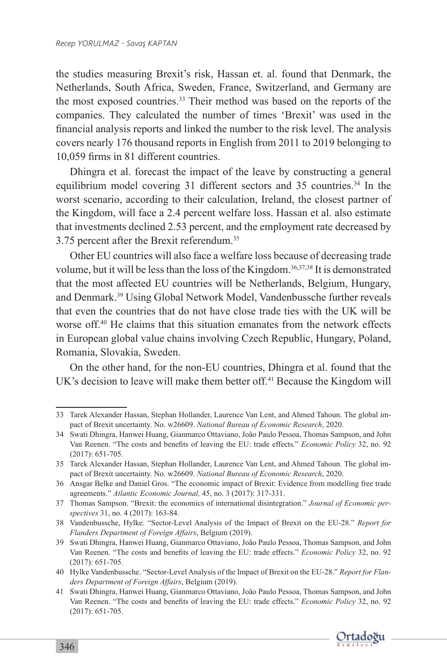the studies measuring Brexit's risk, Hassan et. al. found that Denmark, the Netherlands, South Africa, Sweden, France, Switzerland, and Germany are the most exposed countries.<sup>33</sup> Their method was based on the reports of the companies. They calculated the number of times 'Brexit' was used in the financial analysis reports and linked the number to the risk level. The analysis covers nearly 176 thousand reports in English from 2011 to 2019 belonging to 10,059 firms in 81 different countries.

Dhingra et al. forecast the impact of the leave by constructing a general equilibrium model covering 31 different sectors and 35 countries.<sup>34</sup> In the worst scenario, according to their calculation, Ireland, the closest partner of the Kingdom, will face a 2.4 percent welfare loss. Hassan et al. also estimate that investments declined 2.53 percent, and the employment rate decreased by 3.75 percent after the Brexit referendum.<sup>35</sup>

Other EU countries will also face a welfare loss because of decreasing trade volume, but it will be less than the loss of the Kingdom.<sup>36,37,38</sup> It is demonstrated that the most affected EU countries will be Netherlands, Belgium, Hungary, and Denmark.<sup>39</sup> Using Global Network Model, Vandenbussche further reveals that even the countries that do not have close trade ties with the UK will be worse off.<sup>40</sup> He claims that this situation emanates from the network effects in European global value chains involving Czech Republic, Hungary, Poland, Romania, Slovakia, Sweden.

On the other hand, for the non-EU countries, Dhingra et al. found that the UK's decision to leave will make them better off.<sup>41</sup> Because the Kingdom will

<sup>41</sup> Swati Dhingra, Hanwei Huang, Gianmarco Ottaviano, João Paulo Pessoa, Thomas Sampson, and John Van Reenen. "The costs and benefits of leaving the EU: trade effects." *Economic Policy* 32, no. 92 (2017): 651-705.



<sup>33</sup> Tarek Alexander Hassan, Stephan Hollander, Laurence Van Lent, and Ahmed Tahoun. The global impact of Brexit uncertainty. No. w26609. *National Bureau of Economic Research*, 2020.

<sup>34</sup> Swati Dhingra, Hanwei Huang, Gianmarco Ottaviano, João Paulo Pessoa, Thomas Sampson, and John Van Reenen. "The costs and benefits of leaving the EU: trade effects." *Economic Policy* 32, no. 92 (2017): 651-705.

<sup>35</sup> Tarek Alexander Hassan, Stephan Hollander, Laurence Van Lent, and Ahmed Tahoun. The global impact of Brexit uncertainty. No. w26609. *National Bureau of Economic Research*, 2020.

<sup>36</sup> Ansgar Belke and Daniel Gros. "The economic impact of Brexit: Evidence from modelling free trade agreements." *Atlantic Economic Journal,* 45, no. 3 (2017): 317-331.

<sup>37</sup> Thomas Sampson. "Brexit: the economics of international disintegration." *Journal of Economic perspectives* 31, no. 4 (2017): 163-84.

<sup>38</sup> Vandenbussche, Hylke. "Sector-Level Analysis of the Impact of Brexit on the EU-28." *Report for Flanders Department of Foreign Affairs*, Belgium (2019).

<sup>39</sup> Swati Dhingra, Hanwei Huang, Gianmarco Ottaviano, João Paulo Pessoa, Thomas Sampson, and John Van Reenen. "The costs and benefits of leaving the EU: trade effects." *Economic Policy* 32, no. 92 (2017): 651-705.

<sup>40</sup> Hylke Vandenbussche. "Sector-Level Analysis of the Impact of Brexit on the EU-28." *Report for Flanders Department of Foreign Affairs*, Belgium (2019).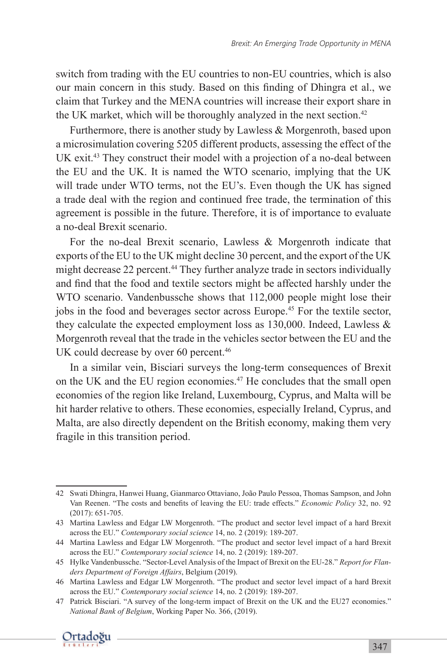switch from trading with the EU countries to non-EU countries, which is also our main concern in this study. Based on this finding of Dhingra et al., we claim that Turkey and the MENA countries will increase their export share in the UK market, which will be thoroughly analyzed in the next section.<sup>42</sup>

Furthermore, there is another study by Lawless & Morgenroth, based upon a microsimulation covering 5205 different products, assessing the effect of the UK exit.<sup>43</sup> They construct their model with a projection of a no-deal between the EU and the UK. It is named the WTO scenario, implying that the UK will trade under WTO terms, not the EU's. Even though the UK has signed a trade deal with the region and continued free trade, the termination of this agreement is possible in the future. Therefore, it is of importance to evaluate a no-deal Brexit scenario.

For the no-deal Brexit scenario, Lawless & Morgenroth indicate that exports of the EU to the UK might decline 30 percent, and the export of the UK might decrease 22 percent.<sup>44</sup> They further analyze trade in sectors individually and find that the food and textile sectors might be affected harshly under the WTO scenario. Vandenbussche shows that 112,000 people might lose their jobs in the food and beverages sector across Europe.<sup>45</sup> For the textile sector, they calculate the expected employment loss as 130,000. Indeed, Lawless & Morgenroth reveal that the trade in the vehicles sector between the EU and the UK could decrease by over 60 percent.<sup>46</sup>

In a similar vein, Bisciari surveys the long-term consequences of Brexit on the UK and the EU region economies.<sup>47</sup> He concludes that the small open economies of the region like Ireland, Luxembourg, Cyprus, and Malta will be hit harder relative to others. These economies, especially Ireland, Cyprus, and Malta, are also directly dependent on the British economy, making them very fragile in this transition period.

<sup>47</sup> Patrick Bisciari. "A survey of the long-term impact of Brexit on the UK and the EU27 economies." *National Bank of Belgium*, Working Paper No. 366, (2019).



<sup>42</sup> Swati Dhingra, Hanwei Huang, Gianmarco Ottaviano, João Paulo Pessoa, Thomas Sampson, and John Van Reenen. "The costs and benefits of leaving the EU: trade effects." *Economic Policy* 32, no. 92 (2017): 651-705.

<sup>43</sup> Martina Lawless and Edgar LW Morgenroth. "The product and sector level impact of a hard Brexit across the EU." *Contemporary social science* 14, no. 2 (2019): 189-207.

<sup>44</sup> Martina Lawless and Edgar LW Morgenroth. "The product and sector level impact of a hard Brexit across the EU." *Contemporary social science* 14, no. 2 (2019): 189-207.

<sup>45</sup> Hylke Vandenbussche. "Sector-Level Analysis of the Impact of Brexit on the EU-28." *Report for Flanders Department of Foreign Affairs*, Belgium (2019).

<sup>46</sup> Martina Lawless and Edgar LW Morgenroth. "The product and sector level impact of a hard Brexit across the EU." *Contemporary social science* 14, no. 2 (2019): 189-207.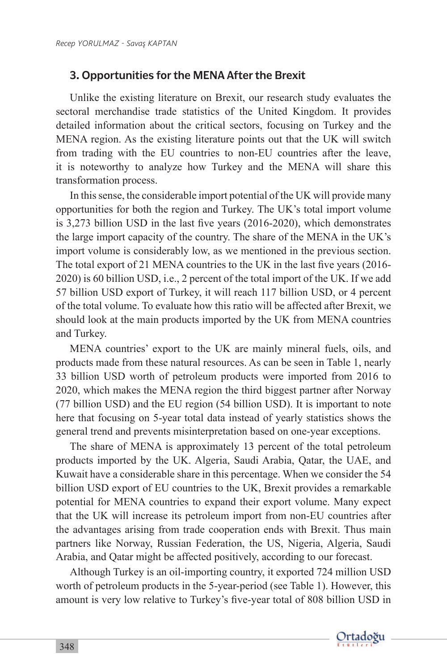#### 3. Opportunities for the MENA After the Brexit

Unlike the existing literature on Brexit, our research study evaluates the sectoral merchandise trade statistics of the United Kingdom. It provides detailed information about the critical sectors, focusing on Turkey and the MENA region. As the existing literature points out that the UK will switch from trading with the EU countries to non-EU countries after the leave, it is noteworthy to analyze how Turkey and the MENA will share this transformation process.

In this sense, the considerable import potential of the UK will provide many opportunities for both the region and Turkey. The UK's total import volume is 3,273 billion USD in the last five years (2016-2020), which demonstrates the large import capacity of the country. The share of the MENA in the UK's import volume is considerably low, as we mentioned in the previous section. The total export of 21 MENA countries to the UK in the last five years (2016- 2020) is 60 billion USD, i.e., 2 percent of the total import of the UK. If we add 57 billion USD export of Turkey, it will reach 117 billion USD, or 4 percent of the total volume. To evaluate how this ratio will be affected after Brexit, we should look at the main products imported by the UK from MENA countries and Turkey.

MENA countries' export to the UK are mainly mineral fuels, oils, and products made from these natural resources. As can be seen in Table 1, nearly 33 billion USD worth of petroleum products were imported from 2016 to 2020, which makes the MENA region the third biggest partner after Norway (77 billion USD) and the EU region (54 billion USD). It is important to note here that focusing on 5-year total data instead of yearly statistics shows the general trend and prevents misinterpretation based on one-year exceptions.

The share of MENA is approximately 13 percent of the total petroleum products imported by the UK. Algeria, Saudi Arabia, Qatar, the UAE, and Kuwait have a considerable share in this percentage. When we consider the 54 billion USD export of EU countries to the UK, Brexit provides a remarkable potential for MENA countries to expand their export volume. Many expect that the UK will increase its petroleum import from non-EU countries after the advantages arising from trade cooperation ends with Brexit. Thus main partners like Norway, Russian Federation, the US, Nigeria, Algeria, Saudi Arabia, and Qatar might be affected positively, according to our forecast.

Although Turkey is an oil-importing country, it exported 724 million USD worth of petroleum products in the 5-year-period (see Table 1). However, this amount is very low relative to Turkey's five-year total of 808 billion USD in

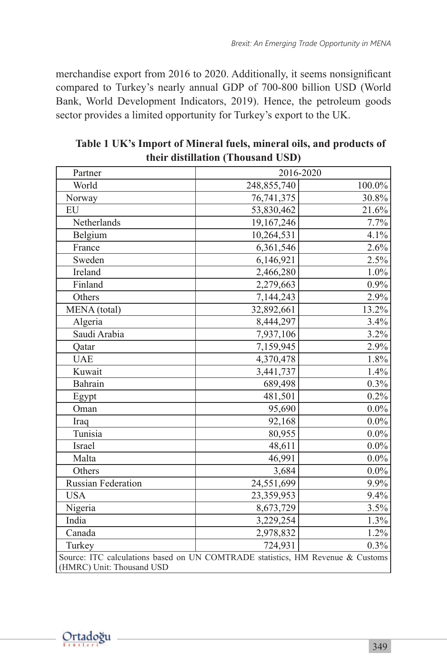merchandise export from 2016 to 2020. Additionally, it seems nonsignificant compared to Turkey's nearly annual GDP of 700-800 billion USD (World Bank, World Development Indicators, 2019). Hence, the petroleum goods sector provides a limited opportunity for Turkey's export to the UK.

| Partner                                                                                                     | 2016-2020   |         |  |  |
|-------------------------------------------------------------------------------------------------------------|-------------|---------|--|--|
| World                                                                                                       | 248,855,740 | 100.0%  |  |  |
| Norway                                                                                                      | 76,741,375  | 30.8%   |  |  |
| EU                                                                                                          | 53,830,462  | 21.6%   |  |  |
| Netherlands                                                                                                 | 19,167,246  | 7.7%    |  |  |
| Belgium                                                                                                     | 10,264,531  | 4.1%    |  |  |
| France                                                                                                      | 6,361,546   | 2.6%    |  |  |
| Sweden                                                                                                      | 6,146,921   | 2.5%    |  |  |
| Ireland                                                                                                     | 2,466,280   | 1.0%    |  |  |
| Finland                                                                                                     | 2,279,663   | $0.9\%$ |  |  |
| Others                                                                                                      | 7,144,243   | 2.9%    |  |  |
| MENA (total)                                                                                                | 32,892,661  | 13.2%   |  |  |
| Algeria                                                                                                     | 8,444,297   | 3.4%    |  |  |
| Saudi Arabia                                                                                                | 7,937,106   | 3.2%    |  |  |
| Qatar                                                                                                       | 7,159,945   | 2.9%    |  |  |
| <b>UAE</b>                                                                                                  | 4,370,478   | 1.8%    |  |  |
| Kuwait                                                                                                      | 3,441,737   | 1.4%    |  |  |
| Bahrain                                                                                                     | 689,498     | 0.3%    |  |  |
| Egypt                                                                                                       | 481,501     | 0.2%    |  |  |
| Oman                                                                                                        | 95,690      | $0.0\%$ |  |  |
| Iraq                                                                                                        | 92,168      | $0.0\%$ |  |  |
| Tunisia                                                                                                     | 80,955      | $0.0\%$ |  |  |
| Israel                                                                                                      | 48,611      | $0.0\%$ |  |  |
| Malta                                                                                                       | 46,991      | $0.0\%$ |  |  |
| Others                                                                                                      | 3,684       | $0.0\%$ |  |  |
| Russian Federation                                                                                          | 24,551,699  | 9.9%    |  |  |
| <b>USA</b>                                                                                                  | 23,359,953  | 9.4%    |  |  |
| Nigeria                                                                                                     | 8,673,729   | 3.5%    |  |  |
| India                                                                                                       | 3,229,254   | 1.3%    |  |  |
| Canada                                                                                                      | 2,978,832   | 1.2%    |  |  |
| Turkey                                                                                                      | 724,931     | 0.3%    |  |  |
| Source: ITC calculations based on UN COMTRADE statistics, HM Revenue & Customs<br>(HMRC) Unit: Thousand USD |             |         |  |  |

**Table 1 UK's Import of Mineral fuels, mineral oils, and products of their distillation (Thousand USD)**

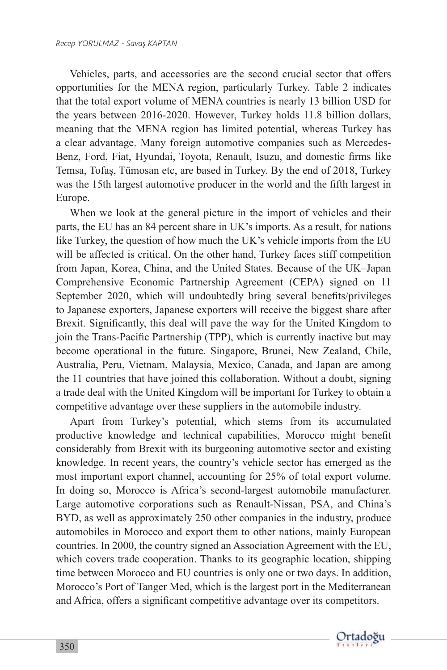Vehicles, parts, and accessories are the second crucial sector that offers opportunities for the MENA region, particularly Turkey. Table 2 indicates that the total export volume of MENA countries is nearly 13 billion USD for the years between 2016-2020. However, Turkey holds 11.8 billion dollars, meaning that the MENA region has limited potential, whereas Turkey has a clear advantage. Many foreign automotive companies such as Mercedes-Benz, Ford, Fiat, Hyundai, Toyota, Renault, Isuzu, and domestic firms like Temsa, Tofaş, Tümosan etc, are based in Turkey. By the end of 2018, Turkey was the 15th largest automotive producer in the world and the fifth largest in Europe.

When we look at the general picture in the import of vehicles and their parts, the EU has an 84 percent share in UK's imports. As a result, for nations like Turkey, the question of how much the UK's vehicle imports from the EU will be affected is critical. On the other hand, Turkey faces stiff competition from Japan, Korea, China, and the United States. Because of the UK–Japan Comprehensive Economic Partnership Agreement (CEPA) signed on 11 September 2020, which will undoubtedly bring several benefits/privileges to Japanese exporters, Japanese exporters will receive the biggest share after Brexit. Significantly, this deal will pave the way for the United Kingdom to join the Trans-Pacific Partnership (TPP), which is currently inactive but may become operational in the future. Singapore, Brunei, New Zealand, Chile, Australia, Peru, Vietnam, Malaysia, Mexico, Canada, and Japan are among the 11 countries that have joined this collaboration. Without a doubt, signing a trade deal with the United Kingdom will be important for Turkey to obtain a competitive advantage over these suppliers in the automobile industry.

Apart from Turkey's potential, which stems from its accumulated productive knowledge and technical capabilities, Morocco might benefit considerably from Brexit with its burgeoning automotive sector and existing knowledge. In recent years, the country's vehicle sector has emerged as the most important export channel, accounting for 25% of total export volume. In doing so, Morocco is Africa's second-largest automobile manufacturer. Large automotive corporations such as Renault-Nissan, PSA, and China's BYD, as well as approximately 250 other companies in the industry, produce automobiles in Morocco and export them to other nations, mainly European countries. In 2000, the country signed an Association Agreement with the EU, which covers trade cooperation. Thanks to its geographic location, shipping time between Morocco and EU countries is only one or two days. In addition, Morocco's Port of Tanger Med, which is the largest port in the Mediterranean and Africa, offers a significant competitive advantage over its competitors.

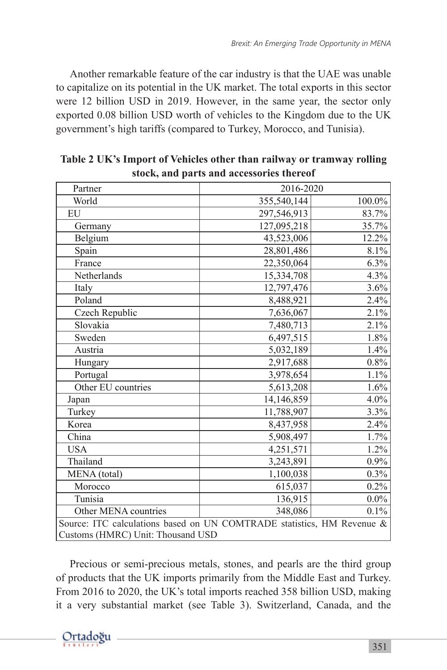Another remarkable feature of the car industry is that the UAE was unable to capitalize on its potential in the UK market. The total exports in this sector were 12 billion USD in 2019. However, in the same year, the sector only exported 0.08 billion USD worth of vehicles to the Kingdom due to the UK government's high tariffs (compared to Turkey, Morocco, and Tunisia).

| Partner                                                                | 2016-2020   |         |  |  |
|------------------------------------------------------------------------|-------------|---------|--|--|
| World                                                                  | 355,540,144 | 100.0%  |  |  |
| EU                                                                     | 297,546,913 | 83.7%   |  |  |
| Germany                                                                | 127,095,218 | 35.7%   |  |  |
| Belgium                                                                | 43,523,006  | 12.2%   |  |  |
| Spain                                                                  | 28,801,486  | 8.1%    |  |  |
| France                                                                 | 22,350,064  | 6.3%    |  |  |
| Netherlands                                                            | 15,334,708  | 4.3%    |  |  |
| Italy                                                                  | 12,797,476  | 3.6%    |  |  |
| Poland                                                                 | 8,488,921   | 2.4%    |  |  |
| Czech Republic                                                         | 7,636,067   | 2.1%    |  |  |
| Slovakia                                                               | 7,480,713   | 2.1%    |  |  |
| Sweden                                                                 | 6,497,515   | 1.8%    |  |  |
| Austria                                                                | 5,032,189   | 1.4%    |  |  |
| Hungary                                                                | 2,917,688   | $0.8\%$ |  |  |
| Portugal                                                               | 3,978,654   | 1.1%    |  |  |
| Other EU countries                                                     | 5,613,208   | 1.6%    |  |  |
| Japan                                                                  | 14,146,859  | $4.0\%$ |  |  |
| Turkey                                                                 | 11,788,907  | 3.3%    |  |  |
| Korea                                                                  | 8,437,958   | 2.4%    |  |  |
| China                                                                  | 5,908,497   | 1.7%    |  |  |
| <b>USA</b>                                                             | 4,251,571   | 1.2%    |  |  |
| Thailand                                                               | 3,243,891   | 0.9%    |  |  |
| MENA (total)                                                           | 1,100,038   | 0.3%    |  |  |
| Morocco                                                                | 615,037     | 0.2%    |  |  |
| Tunisia                                                                | 136,915     | $0.0\%$ |  |  |
| Other MENA countries                                                   | 348,086     | 0.1%    |  |  |
| Source: ITC calculations based on UN COMTRADE statistics, HM Revenue & |             |         |  |  |
| Customs (HMRC) Unit: Thousand USD                                      |             |         |  |  |

**Table 2 UK's Import of Vehicles other than railway or tramway rolling stock, and parts and accessories thereof**

Precious or semi-precious metals, stones, and pearls are the third group of products that the UK imports primarily from the Middle East and Turkey. From 2016 to 2020, the UK's total imports reached 358 billion USD, making it a very substantial market (see Table 3). Switzerland, Canada, and the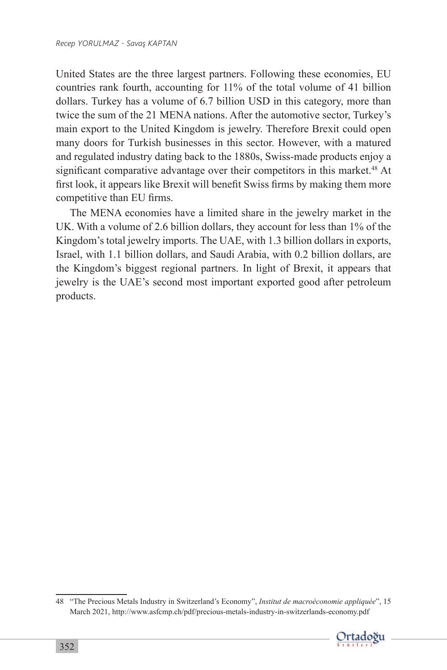United States are the three largest partners. Following these economies, EU countries rank fourth, accounting for 11% of the total volume of 41 billion dollars. Turkey has a volume of 6.7 billion USD in this category, more than twice the sum of the 21 MENA nations. After the automotive sector, Turkey's main export to the United Kingdom is jewelry. Therefore Brexit could open many doors for Turkish businesses in this sector. However, with a matured and regulated industry dating back to the 1880s, Swiss-made products enjoy a significant comparative advantage over their competitors in this market.<sup>48</sup> At first look, it appears like Brexit will benefit Swiss firms by making them more competitive than EU firms.

The MENA economies have a limited share in the jewelry market in the UK. With a volume of 2.6 billion dollars, they account for less than 1% of the Kingdom's total jewelry imports. The UAE, with 1.3 billion dollars in exports, Israel, with 1.1 billion dollars, and Saudi Arabia, with 0.2 billion dollars, are the Kingdom's biggest regional partners. In light of Brexit, it appears that jewelry is the UAE's second most important exported good after petroleum products.

<sup>48</sup> "The Precious Metals Industry in Switzerland's Economy", *Institut de macroéconomie appliquée*", 15 March 2021, http://www.asfcmp.ch/pdf/precious-metals-industry-in-switzerlands-economy.pdf

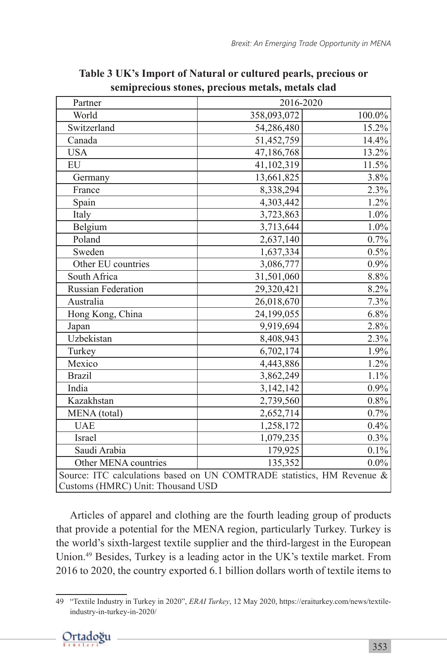| Partner                                                                | 2016-2020   |           |  |  |
|------------------------------------------------------------------------|-------------|-----------|--|--|
| World                                                                  | 358,093,072 | $100.0\%$ |  |  |
| Switzerland                                                            | 54,286,480  | 15.2%     |  |  |
| Canada                                                                 | 51,452,759  | 14.4%     |  |  |
| <b>USA</b>                                                             | 47,186,768  | 13.2%     |  |  |
| EU                                                                     | 41,102,319  | 11.5%     |  |  |
| Germany                                                                | 13,661,825  | 3.8%      |  |  |
| France                                                                 | 8,338,294   | 2.3%      |  |  |
| Spain                                                                  | 4,303,442   | 1.2%      |  |  |
| Italy                                                                  | 3,723,863   | 1.0%      |  |  |
| Belgium                                                                | 3,713,644   | $1.0\%$   |  |  |
| Poland                                                                 | 2,637,140   | 0.7%      |  |  |
| Sweden                                                                 | 1,637,334   | 0.5%      |  |  |
| Other EU countries                                                     | 3,086,777   | $0.9\%$   |  |  |
| South Africa                                                           | 31,501,060  | $8.8\%$   |  |  |
| <b>Russian Federation</b>                                              | 29,320,421  | 8.2%      |  |  |
| Australia                                                              | 26,018,670  | 7.3%      |  |  |
| Hong Kong, China                                                       | 24,199,055  | 6.8%      |  |  |
| Japan                                                                  | 9,919,694   | 2.8%      |  |  |
| Uzbekistan                                                             | 8,408,943   | 2.3%      |  |  |
| Turkey                                                                 | 6,702,174   | 1.9%      |  |  |
| Mexico                                                                 | 4,443,886   | 1.2%      |  |  |
| <b>Brazil</b>                                                          | 3,862,249   | 1.1%      |  |  |
| India                                                                  | 3,142,142   | 0.9%      |  |  |
| Kazakhstan                                                             | 2,739,560   | $0.8\%$   |  |  |
| MENA (total)                                                           | 2,652,714   | 0.7%      |  |  |
| <b>UAE</b>                                                             | 1,258,172   | 0.4%      |  |  |
| Israel                                                                 | 1,079,235   | 0.3%      |  |  |
| Saudi Arabia                                                           | 179,925     | 0.1%      |  |  |
| Other MENA countries                                                   | 135,352     | $0.0\%$   |  |  |
| Source: ITC calculations based on UN COMTRADE statistics, HM Revenue & |             |           |  |  |
| Customs (HMRC) Unit: Thousand USD                                      |             |           |  |  |

**Table 3 UK's Import of Natural or cultured pearls, precious or semiprecious stones, precious metals, metals clad**

Articles of apparel and clothing are the fourth leading group of products that provide a potential for the MENA region, particularly Turkey. Turkey is the world's sixth-largest textile supplier and the third-largest in the European Union.<sup>49</sup> Besides, Turkey is a leading actor in the UK's textile market. From 2016 to 2020, the country exported 6.1 billion dollars worth of textile items to

<sup>49</sup> "Textile Industry in Turkey in 2020", *ERAI Turkey*, 12 May 2020, https://eraiturkey.com/news/textileindustry-in-turkey-in-2020/

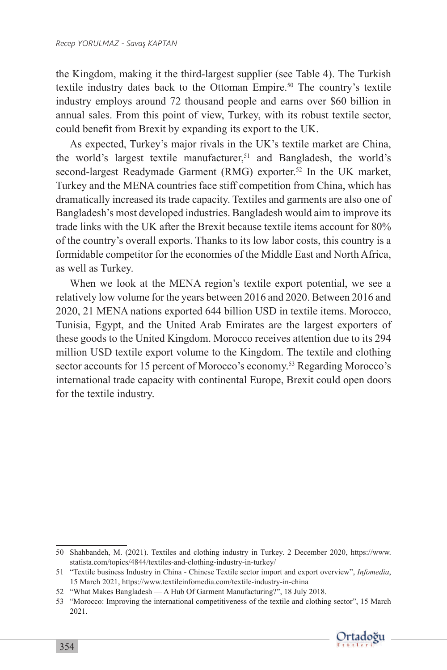the Kingdom, making it the third-largest supplier (see Table 4). The Turkish textile industry dates back to the Ottoman Empire.<sup>50</sup> The country's textile industry employs around 72 thousand people and earns over \$60 billion in annual sales. From this point of view, Turkey, with its robust textile sector, could benefit from Brexit by expanding its export to the UK.

As expected, Turkey's major rivals in the UK's textile market are China, the world's largest textile manufacturer, $51$  and Bangladesh, the world's second-largest Readymade Garment (RMG) exporter.<sup>52</sup> In the UK market, Turkey and the MENA countries face stiff competition from China, which has dramatically increased its trade capacity. Textiles and garments are also one of Bangladesh's most developed industries. Bangladesh would aim to improve its trade links with the UK after the Brexit because textile items account for 80% of the country's overall exports. Thanks to its low labor costs, this country is a formidable competitor for the economies of the Middle East and North Africa, as well as Turkey.

When we look at the MENA region's textile export potential, we see a relatively low volume for the years between 2016 and 2020. Between 2016 and 2020, 21 MENA nations exported 644 billion USD in textile items. Morocco, Tunisia, Egypt, and the United Arab Emirates are the largest exporters of these goods to the United Kingdom. Morocco receives attention due to its 294 million USD textile export volume to the Kingdom. The textile and clothing sector accounts for 15 percent of Morocco's economy.<sup>53</sup> Regarding Morocco's international trade capacity with continental Europe, Brexit could open doors for the textile industry.

<sup>53</sup> "Morocco: Improving the international competitiveness of the textile and clothing sector", 15 March 2021.



<sup>50</sup> Shahbandeh, M. (2021). Textiles and clothing industry in Turkey. 2 December 2020, https://www. statista.com/topics/4844/textiles-and-clothing-industry-in-turkey/

<sup>51</sup> "Textile business Industry in China - Chinese Textile sector import and export overview", *Infomedia*, 15 March 2021, https://www.textileinfomedia.com/textile-industry-in-china

<sup>52</sup> "What Makes Bangladesh — A Hub Of Garment Manufacturing?", 18 July 2018.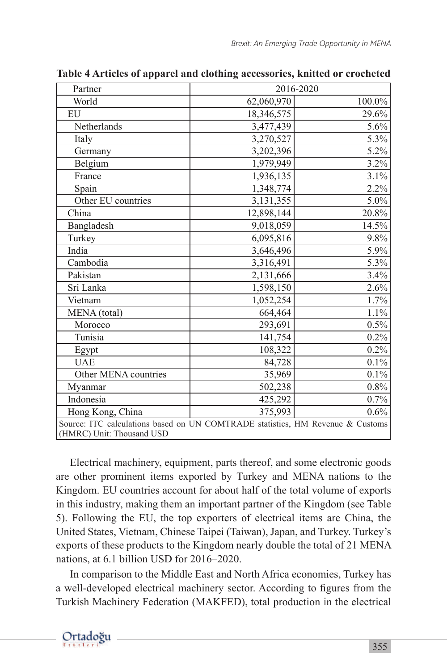| Partner                                                                                                     | 2016-2020  |         |  |  |
|-------------------------------------------------------------------------------------------------------------|------------|---------|--|--|
| World                                                                                                       | 62,060,970 | 100.0%  |  |  |
| EU                                                                                                          | 18,346,575 | 29.6%   |  |  |
| Netherlands                                                                                                 | 3,477,439  | $5.6\%$ |  |  |
| Italy                                                                                                       | 3,270,527  | 5.3%    |  |  |
| Germany                                                                                                     | 3,202,396  | 5.2%    |  |  |
| Belgium                                                                                                     | 1,979,949  | 3.2%    |  |  |
| France                                                                                                      | 1,936,135  | 3.1%    |  |  |
| Spain                                                                                                       | 1,348,774  | 2.2%    |  |  |
| Other EU countries                                                                                          | 3,131,355  | $5.0\%$ |  |  |
| China                                                                                                       | 12,898,144 | 20.8%   |  |  |
| Bangladesh                                                                                                  | 9,018,059  | 14.5%   |  |  |
| Turkey                                                                                                      | 6,095,816  | 9.8%    |  |  |
| India                                                                                                       | 3,646,496  | 5.9%    |  |  |
| Cambodia                                                                                                    | 3,316,491  | 5.3%    |  |  |
| Pakistan                                                                                                    | 2,131,666  | 3.4%    |  |  |
| Sri Lanka                                                                                                   | 1,598,150  | 2.6%    |  |  |
| Vietnam                                                                                                     | 1,052,254  | 1.7%    |  |  |
| MENA (total)                                                                                                | 664,464    | 1.1%    |  |  |
| Morocco                                                                                                     | 293,691    | 0.5%    |  |  |
| Tunisia                                                                                                     | 141,754    | 0.2%    |  |  |
| Egypt                                                                                                       | 108,322    | 0.2%    |  |  |
| <b>UAE</b>                                                                                                  | 84,728     | 0.1%    |  |  |
| Other MENA countries                                                                                        | 35,969     | 0.1%    |  |  |
| Myanmar                                                                                                     | 502,238    | $0.8\%$ |  |  |
| Indonesia                                                                                                   | 425,292    | 0.7%    |  |  |
| Hong Kong, China                                                                                            | 375,993    | 0.6%    |  |  |
| Source: ITC calculations based on UN COMTRADE statistics, HM Revenue & Customs<br>(HMRC) Unit: Thousand USD |            |         |  |  |

**Table 4 Articles of apparel and clothing accessories, knitted or crocheted**

Electrical machinery, equipment, parts thereof, and some electronic goods are other prominent items exported by Turkey and MENA nations to the Kingdom. EU countries account for about half of the total volume of exports in this industry, making them an important partner of the Kingdom (see Table 5). Following the EU, the top exporters of electrical items are China, the United States, Vietnam, Chinese Taipei (Taiwan), Japan, and Turkey. Turkey's exports of these products to the Kingdom nearly double the total of 21 MENA nations, at 6.1 billion USD for 2016–2020.

In comparison to the Middle East and North Africa economies, Turkey has a well-developed electrical machinery sector. According to figures from the Turkish Machinery Federation (MAKFED), total production in the electrical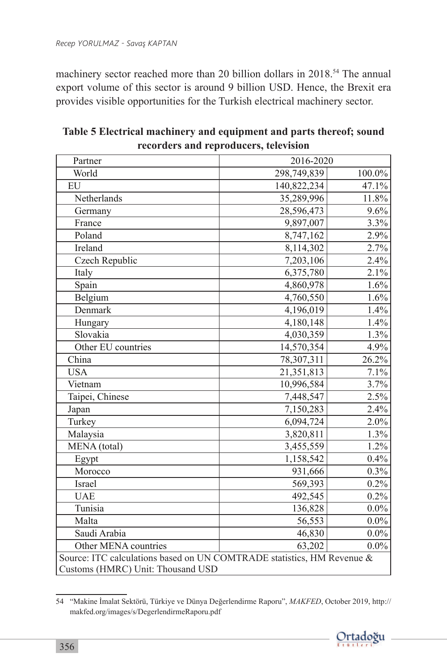machinery sector reached more than 20 billion dollars in 2018.<sup>54</sup> The annual export volume of this sector is around 9 billion USD. Hence, the Brexit era provides visible opportunities for the Turkish electrical machinery sector.

| Partner                                                                                                     | 2016-2020   |         |  |
|-------------------------------------------------------------------------------------------------------------|-------------|---------|--|
| World                                                                                                       | 298,749,839 | 100.0%  |  |
| EU                                                                                                          | 140,822,234 | 47.1%   |  |
| Netherlands                                                                                                 | 35,289,996  | 11.8%   |  |
| Germany                                                                                                     | 28,596,473  | $9.6\%$ |  |
| France                                                                                                      | 9,897,007   | 3.3%    |  |
| Poland                                                                                                      | 8,747,162   | 2.9%    |  |
| Ireland                                                                                                     | 8,114,302   | 2.7%    |  |
| Czech Republic                                                                                              | 7,203,106   | 2.4%    |  |
| Italy                                                                                                       | 6,375,780   | 2.1%    |  |
| Spain                                                                                                       | 4,860,978   | 1.6%    |  |
| Belgium                                                                                                     | 4,760,550   | 1.6%    |  |
| Denmark                                                                                                     | 4,196,019   | 1.4%    |  |
| Hungary                                                                                                     | 4,180,148   | 1.4%    |  |
| Slovakia                                                                                                    | 4,030,359   | 1.3%    |  |
| Other EU countries                                                                                          | 14,570,354  | 4.9%    |  |
| China                                                                                                       | 78,307,311  | 26.2%   |  |
| <b>USA</b>                                                                                                  | 21,351,813  | 7.1%    |  |
| Vietnam                                                                                                     | 10,996,584  | 3.7%    |  |
| Taipei, Chinese                                                                                             | 7,448,547   | 2.5%    |  |
| Japan                                                                                                       | 7,150,283   | 2.4%    |  |
| Turkey                                                                                                      | 6,094,724   | $2.0\%$ |  |
| Malaysia                                                                                                    | 3,820,811   | 1.3%    |  |
| MENA (total)                                                                                                | 3,455,559   | 1.2%    |  |
| Egypt                                                                                                       | 1,158,542   | $0.4\%$ |  |
| Morocco                                                                                                     | 931,666     | $0.3\%$ |  |
| Israel                                                                                                      | 569,393     | 0.2%    |  |
| <b>UAE</b>                                                                                                  | 492,545     | 0.2%    |  |
| Tunisia                                                                                                     | 136,828     | $0.0\%$ |  |
| Malta                                                                                                       | 56,553      | $0.0\%$ |  |
| Saudi Arabia                                                                                                | 46,830      | $0.0\%$ |  |
| Other MENA countries                                                                                        | 63,202      | $0.0\%$ |  |
| Source: ITC calculations based on UN COMTRADE statistics, HM Revenue &<br>Customs (HMRC) Unit: Thousand USD |             |         |  |

**Table 5 Electrical machinery and equipment and parts thereof; sound recorders and reproducers, television**

<sup>54</sup> "Makine İmalat Sektörü, Türkiye ve Dünya Değerlendirme Raporu", *MAKFED*, October 2019, http:// makfed.org/images/s/DegerlendirmeRaporu.pdf

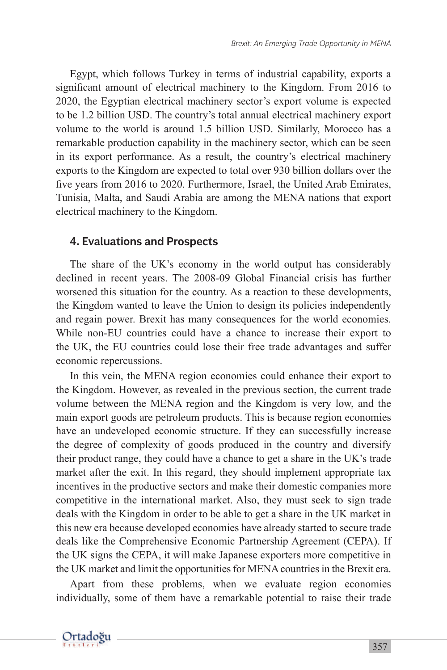Egypt, which follows Turkey in terms of industrial capability, exports a significant amount of electrical machinery to the Kingdom. From 2016 to 2020, the Egyptian electrical machinery sector's export volume is expected to be 1.2 billion USD. The country's total annual electrical machinery export volume to the world is around 1.5 billion USD. Similarly, Morocco has a remarkable production capability in the machinery sector, which can be seen in its export performance. As a result, the country's electrical machinery exports to the Kingdom are expected to total over 930 billion dollars over the five years from 2016 to 2020. Furthermore, Israel, the United Arab Emirates, Tunisia, Malta, and Saudi Arabia are among the MENA nations that export electrical machinery to the Kingdom.

#### 4. Evaluations and Prospects

The share of the UK's economy in the world output has considerably declined in recent years. The 2008-09 Global Financial crisis has further worsened this situation for the country. As a reaction to these developments, the Kingdom wanted to leave the Union to design its policies independently and regain power. Brexit has many consequences for the world economies. While non-EU countries could have a chance to increase their export to the UK, the EU countries could lose their free trade advantages and suffer economic repercussions.

In this vein, the MENA region economies could enhance their export to the Kingdom. However, as revealed in the previous section, the current trade volume between the MENA region and the Kingdom is very low, and the main export goods are petroleum products. This is because region economies have an undeveloped economic structure. If they can successfully increase the degree of complexity of goods produced in the country and diversify their product range, they could have a chance to get a share in the UK's trade market after the exit. In this regard, they should implement appropriate tax incentives in the productive sectors and make their domestic companies more competitive in the international market. Also, they must seek to sign trade deals with the Kingdom in order to be able to get a share in the UK market in this new era because developed economies have already started to secure trade deals like the Comprehensive Economic Partnership Agreement (CEPA). If the UK signs the CEPA, it will make Japanese exporters more competitive in the UK market and limit the opportunities for MENA countries in the Brexit era.

Apart from these problems, when we evaluate region economies individually, some of them have a remarkable potential to raise their trade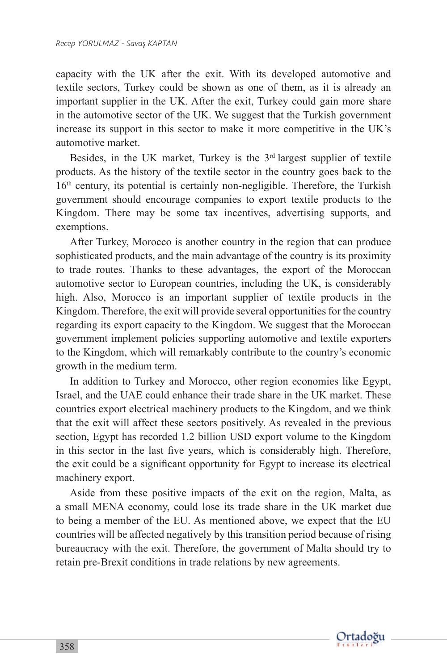capacity with the UK after the exit. With its developed automotive and textile sectors, Turkey could be shown as one of them, as it is already an important supplier in the UK. After the exit, Turkey could gain more share in the automotive sector of the UK. We suggest that the Turkish government increase its support in this sector to make it more competitive in the UK's automotive market.

Besides, in the UK market, Turkey is the  $3<sup>rd</sup>$  largest supplier of textile products. As the history of the textile sector in the country goes back to the 16<sup>th</sup> century, its potential is certainly non-negligible. Therefore, the Turkish government should encourage companies to export textile products to the Kingdom. There may be some tax incentives, advertising supports, and exemptions.

After Turkey, Morocco is another country in the region that can produce sophisticated products, and the main advantage of the country is its proximity to trade routes. Thanks to these advantages, the export of the Moroccan automotive sector to European countries, including the UK, is considerably high. Also, Morocco is an important supplier of textile products in the Kingdom. Therefore, the exit will provide several opportunities for the country regarding its export capacity to the Kingdom. We suggest that the Moroccan government implement policies supporting automotive and textile exporters to the Kingdom, which will remarkably contribute to the country's economic growth in the medium term.

In addition to Turkey and Morocco, other region economies like Egypt, Israel, and the UAE could enhance their trade share in the UK market. These countries export electrical machinery products to the Kingdom, and we think that the exit will affect these sectors positively. As revealed in the previous section, Egypt has recorded 1.2 billion USD export volume to the Kingdom in this sector in the last five years, which is considerably high. Therefore, the exit could be a significant opportunity for Egypt to increase its electrical machinery export.

Aside from these positive impacts of the exit on the region, Malta, as a small MENA economy, could lose its trade share in the UK market due to being a member of the EU. As mentioned above, we expect that the EU countries will be affected negatively by this transition period because of rising bureaucracy with the exit. Therefore, the government of Malta should try to retain pre-Brexit conditions in trade relations by new agreements.

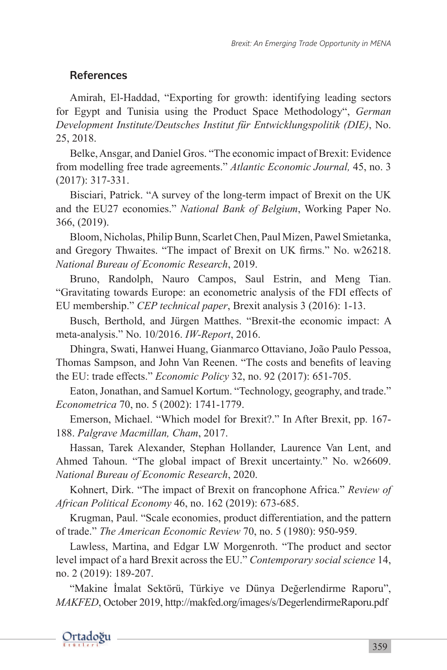### References

Amirah, El-Haddad, "Exporting for growth: identifying leading sectors for Egypt and Tunisia using the Product Space Methodology", *German Development Institute/Deutsches Institut für Entwicklungspolitik (DIE)*, No. 25, 2018.

Belke, Ansgar, and Daniel Gros. "The economic impact of Brexit: Evidence from modelling free trade agreements." *Atlantic Economic Journal,* 45, no. 3 (2017): 317-331.

Bisciari, Patrick. "A survey of the long-term impact of Brexit on the UK and the EU27 economies." *National Bank of Belgium*, Working Paper No. 366, (2019).

Bloom, Nicholas, Philip Bunn, Scarlet Chen, Paul Mizen, Pawel Smietanka, and Gregory Thwaites. "The impact of Brexit on UK firms." No. w26218. *National Bureau of Economic Research*, 2019.

Bruno, Randolph, Nauro Campos, Saul Estrin, and Meng Tian. "Gravitating towards Europe: an econometric analysis of the FDI effects of EU membership." *CEP technical paper*, Brexit analysis 3 (2016): 1-13.

Busch, Berthold, and Jürgen Matthes. "Brexit-the economic impact: A meta-analysis." No. 10/2016. *IW-Report*, 2016.

Dhingra, Swati, Hanwei Huang, Gianmarco Ottaviano, João Paulo Pessoa, Thomas Sampson, and John Van Reenen. "The costs and benefits of leaving the EU: trade effects." *Economic Policy* 32, no. 92 (2017): 651-705.

Eaton, Jonathan, and Samuel Kortum. "Technology, geography, and trade." *Econometrica* 70, no. 5 (2002): 1741-1779.

Emerson, Michael. "Which model for Brexit?." In After Brexit, pp. 167- 188. *Palgrave Macmillan, Cham*, 2017.

Hassan, Tarek Alexander, Stephan Hollander, Laurence Van Lent, and Ahmed Tahoun. "The global impact of Brexit uncertainty." No. w26609. *National Bureau of Economic Research*, 2020.

Kohnert, Dirk. "The impact of Brexit on francophone Africa." *Review of African Political Economy* 46, no. 162 (2019): 673-685.

Krugman, Paul. "Scale economies, product differentiation, and the pattern of trade." *The American Economic Review* 70, no. 5 (1980): 950-959.

Lawless, Martina, and Edgar LW Morgenroth. "The product and sector level impact of a hard Brexit across the EU." *Contemporary social science* 14, no. 2 (2019): 189-207.

"Makine İmalat Sektörü, Türkiye ve Dünya Değerlendirme Raporu", *MAKFED*, October 2019, http://makfed.org/images/s/DegerlendirmeRaporu.pdf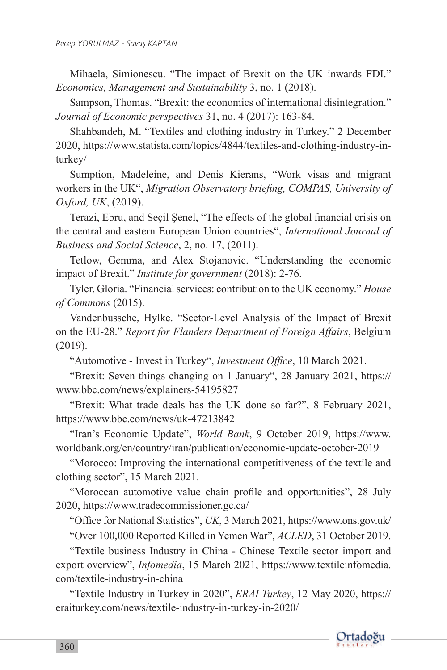Mihaela, Simionescu. "The impact of Brexit on the UK inwards FDI." *Economics, Management and Sustainability* 3, no. 1 (2018).

Sampson, Thomas. "Brexit: the economics of international disintegration." *Journal of Economic perspectives* 31, no. 4 (2017): 163-84.

Shahbandeh, M. "Textiles and clothing industry in Turkey." 2 December 2020, https://www.statista.com/topics/4844/textiles-and-clothing-industry-inturkey/

Sumption, Madeleine, and Denis Kierans, "Work visas and migrant workers in the UK", *Migration Observatory briefing, COMPAS, University of Oxford, UK*, (2019).

Terazi, Ebru, and Seçil Şenel, "The effects of the global financial crisis on the central and eastern European Union countries", *International Journal of Business and Social Science*, 2, no. 17, (2011).

Tetlow, Gemma, and Alex Stojanovic. "Understanding the economic impact of Brexit." *Institute for government* (2018): 2-76.

Tyler, Gloria. "Financial services: contribution to the UK economy." *House of Commons* (2015).

Vandenbussche, Hylke. "Sector-Level Analysis of the Impact of Brexit on the EU-28." *Report for Flanders Department of Foreign Affairs*, Belgium (2019).

"Automotive - Invest in Turkey", *Investment Office*, 10 March 2021.

"Brexit: Seven things changing on 1 January", 28 January 2021, https:// www.bbc.com/news/explainers-54195827

"Brexit: What trade deals has the UK done so far?", 8 February 2021, https://www.bbc.com/news/uk-47213842

"Iran's Economic Update", *World Bank*, 9 October 2019, https://www. worldbank.org/en/country/iran/publication/economic-update-october-2019

"Morocco: Improving the international competitiveness of the textile and clothing sector", 15 March 2021.

"Moroccan automotive value chain profile and opportunities", 28 July 2020, https://www.tradecommissioner.gc.ca/

"Office for National Statistics", *UK*, 3 March 2021, https://www.ons.gov.uk/

"Over 100,000 Reported Killed in Yemen War", *ACLED*, 31 October 2019.

"Textile business Industry in China - Chinese Textile sector import and export overview", *Infomedia*, 15 March 2021, https://www.textileinfomedia. com/textile-industry-in-china

"Textile Industry in Turkey in 2020", *ERAI Turkey*, 12 May 2020, https:// eraiturkey.com/news/textile-industry-in-turkey-in-2020/